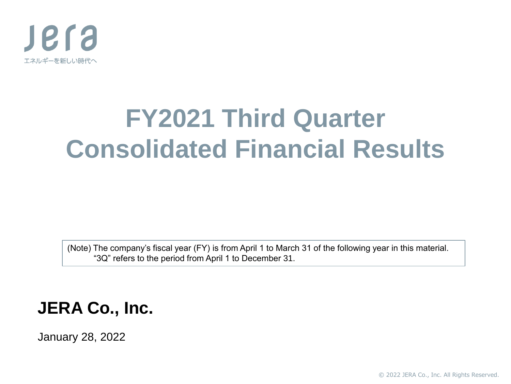

# **FY2021 Third Quarter Consolidated Financial Results**

(Note) The company's fiscal year (FY) is from April 1 to March 31 of the following year in this material. "3Q" refers to the period from April 1 to December 31.

### **JERA Co., Inc.**

January 28, 2022

© 2022 JERA Co., Inc. All Rights Reserved.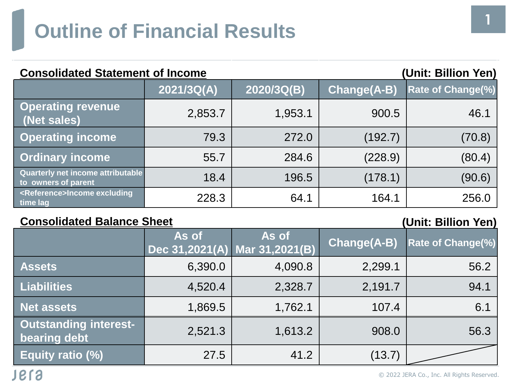| <b>Consolidated Statement of Income</b><br>(Unit: Billion Yen)  |            |            |                    |                          |  |
|-----------------------------------------------------------------|------------|------------|--------------------|--------------------------|--|
|                                                                 | 2021/3Q(A) | 2020/3Q(B) | <b>Change(A-B)</b> | <b>Rate of Change(%)</b> |  |
| <b>Operating revenue</b><br>(Net sales)                         | 2,853.7    | 1,953.1    | 900.5              | 46.1                     |  |
| <b>Operating income</b>                                         | 79.3       | 272.0      | (192.7)            | (70.8)                   |  |
| <b>Ordinary income</b>                                          | 55.7       | 284.6      | (228.9)            | (80.4)                   |  |
| <b>Quarterly net income attributable</b><br>to owners of parent | 18.4       | 196.5      | (178.1)            | (90.6)                   |  |
| <reference>Income excluding<br/>time lag</reference>            | 228.3      | 64.1       | 164.1              | 256.0                    |  |

### **Consolidated Balance Sheet (Unit: Billion Yen)**

|                                                     | As of   | As of<br>Dec 31,2021(A) Mar 31,2021(B) | Change(A-B) | <b>Rate of Change(%)</b> |
|-----------------------------------------------------|---------|----------------------------------------|-------------|--------------------------|
| <b>Assets</b>                                       | 6,390.0 | 4,090.8                                | 2,299.1     | 56.2                     |
| <b>Liabilities</b>                                  | 4,520.4 | 2,328.7                                | 2,191.7     | 94.1                     |
| <b>Net assets</b>                                   | 1,869.5 | 1,762.1                                | 107.4       | 6.1                      |
| <b>Outstanding interest-</b><br><b>bearing debt</b> | 2,521.3 | 1,613.2                                | 908.0       | 56.3                     |
| Equity ratio (%)                                    | 27.5    | 41.2                                   | (13.7)      |                          |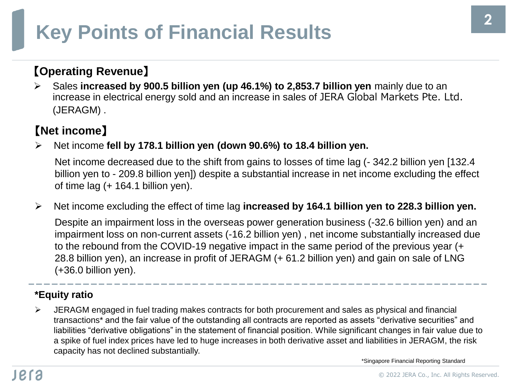# **Key Points of Financial Results**

### 【**Operating Revenue**】

➢ Sales **increased by 900.5 billion yen (up 46.1%) to 2,853.7 billion yen** mainly due to an increase in electrical energy sold and an increase in sales of JERA Global Markets Pte. Ltd. (JERAGM) .

### 【**Net income**】

➢ Net income **fell by 178.1 billion yen (down 90.6%) to 18.4 billion yen.**

Net income decreased due to the shift from gains to losses of time lag (- 342.2 billion yen [132.4 billion yen to - 209.8 billion yen]) despite a substantial increase in net income excluding the effect of time lag (+ 164.1 billion yen).

➢ Net income excluding the effect of time lag **increased by 164.1 billion yen to 228.3 billion yen.**

Despite an impairment loss in the overseas power generation business (-32.6 billion yen) and an impairment loss on non-current assets (-16.2 billion yen) , net income substantially increased due to the rebound from the COVID-19 negative impact in the same period of the previous year (+ 28.8 billion yen), an increase in profit of JERAGM (+ 61.2 billion yen) and gain on sale of LNG (+36.0 billion yen).

#### **\*Equity ratio**

➢ JERAGM engaged in fuel trading makes contracts for both procurement and sales as physical and financial transactions\* and the fair value of the outstanding all contracts are reported as assets "derivative securities" and liabilities "derivative obligations" in the statement of financial position. While significant changes in fair value due to a spike of fuel index prices have led to huge increases in both derivative asset and liabilities in JERAGM, the risk capacity has not declined substantially.

\*Singapore Financial Reporting Standard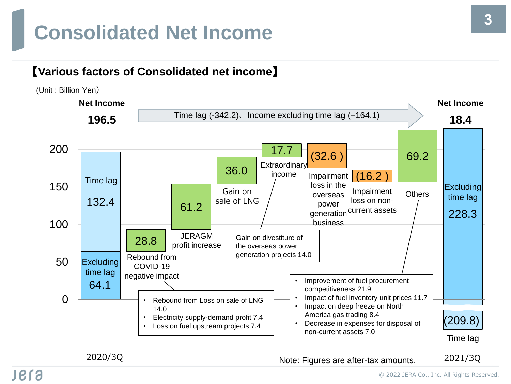## **Consolidated Net Income**

### 【**Various factors of Consolidated net income**】



2020/3Q 2021/3Q Note: Figures are after-tax amounts.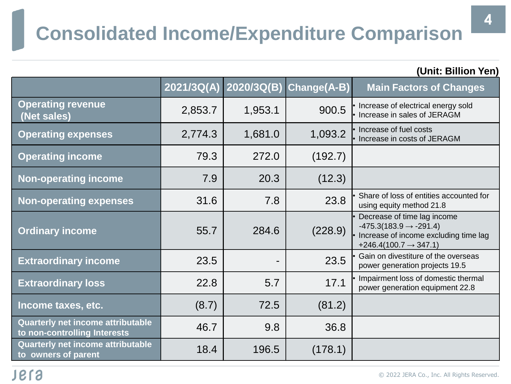# **Consolidated Income/Expenditure Comparison**

|                                                                          |            |                |             | (Unit: Billion Yen)                                                                                                                               |
|--------------------------------------------------------------------------|------------|----------------|-------------|---------------------------------------------------------------------------------------------------------------------------------------------------|
|                                                                          | 2021/3Q(A) | 2020/3Q(B)     | Change(A-B) | <b>Main Factors of Changes</b>                                                                                                                    |
| <b>Operating revenue</b><br>(Net sales)                                  | 2,853.7    | 1,953.1        | 900.5       | • Increase of electrical energy sold<br>• Increase in sales of JERAGM                                                                             |
| <b>Operating expenses</b>                                                | 2,774.3    | 1,681.0        | 1,093.2     | • Increase of fuel costs<br>• Increase in costs of JERAGM                                                                                         |
| <b>Operating income</b>                                                  | 79.3       | 272.0          | (192.7)     |                                                                                                                                                   |
| <b>Non-operating income</b>                                              | 7.9        | 20.3           | (12.3)      |                                                                                                                                                   |
| <b>Non-operating expenses</b>                                            | 31.6       | 7.8            | 23.8        | Share of loss of entities accounted for<br>using equity method 21.8                                                                               |
| <b>Ordinary income</b>                                                   | 55.7       | 284.6          | (228.9)     | Decrease of time lag income<br>$-475.3(183.9 \rightarrow -291.4)$<br>· Increase of income excluding time lag<br>$+246.4(100.7 \rightarrow 347.1)$ |
| <b>Extraordinary income</b>                                              | 23.5       | $\blacksquare$ | 23.5        | Gain on divestiture of the overseas<br>power generation projects 19.5                                                                             |
| <b>Extraordinary loss</b>                                                | 22.8       | 5.7            | 17.1        | Impairment loss of domestic thermal<br>power generation equipment 22.8                                                                            |
| Income taxes, etc.                                                       | (8.7)      | 72.5           | (81.2)      |                                                                                                                                                   |
| <b>Quarterly net income attributable</b><br>to non-controlling Interests | 46.7       | 9.8            | 36.8        |                                                                                                                                                   |
| <b>Quarterly net income attributable</b><br>to owners of parent          | 18.4       | 196.5          | (178.1)     |                                                                                                                                                   |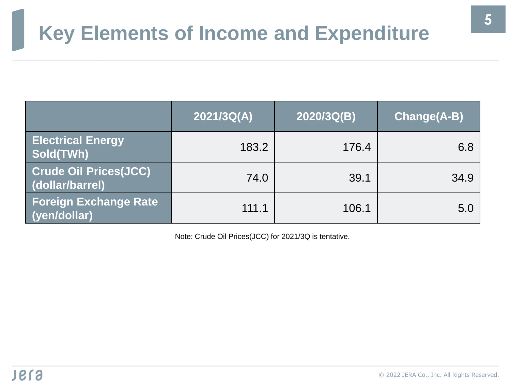# **Key Elements of Income and Expenditure**

|                                                 | 2021/3Q(A) | 2020/3Q(B) | <b>Change(A-B)</b> |
|-------------------------------------------------|------------|------------|--------------------|
| <b>Electrical Energy</b><br>Sold(TWh)           | 183.2      | 176.4      | 6.8                |
| <b>Crude Oil Prices(JCC)</b><br>(dollar/barrel) | 74.0       | 39.1       | 34.9               |
| <b>Foreign Exchange Rate</b><br>(yen/dollar)    | 111.1      | 106.1      | 5.0                |

Note: Crude Oil Prices(JCC) for 2021/3Q is tentative.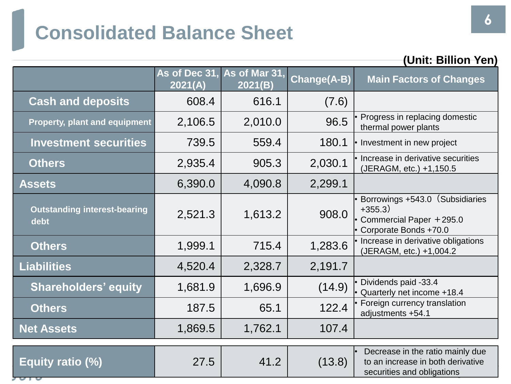# **Consolidated Balance Sheet**

|                                             |         |                                        |                    | (Unit: Billion Yen)                                                                                 |
|---------------------------------------------|---------|----------------------------------------|--------------------|-----------------------------------------------------------------------------------------------------|
|                                             | 2021(A) | As of Dec 31, As of Mar 31,<br>2021(B) | <b>Change(A-B)</b> | <b>Main Factors of Changes</b>                                                                      |
| <b>Cash and deposits</b>                    | 608.4   | 616.1                                  | (7.6)              |                                                                                                     |
| <b>Property, plant and equipment</b>        | 2,106.5 | 2,010.0                                | 96.5               | Progress in replacing domestic<br>thermal power plants                                              |
| <b>Investment securities</b>                | 739.5   | 559.4                                  | 180.1              | • Investment in new project                                                                         |
| <b>Others</b>                               | 2,935.4 | 905.3                                  | 2,030.1            | · Increase in derivative securities<br>(JERAGM, etc.) +1,150.5                                      |
| <b>Assets</b>                               | 6,390.0 | 4,090.8                                | 2,299.1            |                                                                                                     |
| <b>Outstanding interest-bearing</b><br>debt | 2,521.3 | 1,613.2                                | 908.0              | Borrowings +543.0 (Subsidiaries<br>$+355.3)$<br>Commercial Paper +295.0<br>Corporate Bonds +70.0    |
| <b>Others</b>                               | 1,999.1 | 715.4                                  | 1,283.6            | Increase in derivative obligations<br>(JERAGM, etc.) +1,004.2                                       |
| <b>Liabilities</b>                          | 4,520.4 | 2,328.7                                | 2,191.7            |                                                                                                     |
| <b>Shareholders' equity</b>                 | 1,681.9 | 1,696.9                                | (14.9)             | Dividends paid -33.4<br>• Quarterly net income +18.4                                                |
| <b>Others</b>                               | 187.5   | 65.1                                   | 122.4              | Foreign currency translation<br>adjustments +54.1                                                   |
| <b>Net Assets</b>                           | 1,869.5 | 1,762.1                                | 107.4              |                                                                                                     |
| Equity ratio (%)                            | 27.5    | 41.2                                   | (13.8)             | Decrease in the ratio mainly due<br>to an increase in both derivative<br>securities and obligations |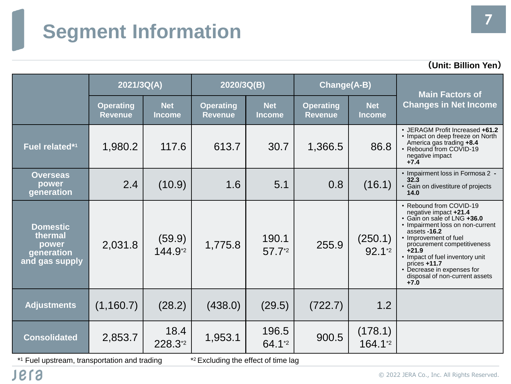# **Segment Information**

|                                                                     | 2021/3Q(A)                         |                               | 2020/3Q(B)                         |                             | <b>Change(A-B)</b>                 |                              | <b>Main Factors of</b>                                                                                                                                                                                                                                                                                                                 |
|---------------------------------------------------------------------|------------------------------------|-------------------------------|------------------------------------|-----------------------------|------------------------------------|------------------------------|----------------------------------------------------------------------------------------------------------------------------------------------------------------------------------------------------------------------------------------------------------------------------------------------------------------------------------------|
|                                                                     | <b>Operating</b><br><b>Revenue</b> | <b>Net</b><br><b>Income</b>   | <b>Operating</b><br><b>Revenue</b> | <b>Net</b><br><b>Income</b> | <b>Operating</b><br><b>Revenue</b> | <b>Net</b><br>Income         | <b>Changes in Net Income</b>                                                                                                                                                                                                                                                                                                           |
| Fuel related*1                                                      | 1,980.2                            | 117.6                         | 613.7                              | 30.7                        | 1,366.5                            | 86.8                         | • JERAGM Profit Increased +61.2<br>• Impact on deep freeze on North<br>America gas trading +8.4<br>• Rebound from COVID-19<br>negative impact<br>$+7.4$                                                                                                                                                                                |
| <b>Overseas</b><br>power<br>generation                              | 2.4                                | (10.9)                        | 1.6                                | 5.1                         | 0.8                                | (16.1)                       | • Impairment loss in Formosa 2 -<br>32.3<br>• Gain on divestiture of projects<br>14.0                                                                                                                                                                                                                                                  |
| <b>Domestic</b><br>thermal<br>power<br>generation<br>and gas supply | 2,031.8                            | (59.9)<br>144.9 <sup>*2</sup> | 1,775.8                            | 190.1<br>57.72              | 255.9                              | (250.1)<br>$92.1^{\text{*}}$ | • Rebound from COVID-19<br>negative impact +21.4<br>· Gain on sale of LNG +36.0<br>• Impairment loss on non-current<br>assets -16.2<br>• Improvement of fuel<br>procurement competitiveness<br>$+21.9$<br>• Impact of fuel inventory unit<br>$prices + 11.7$<br>• Decrease in expenses for<br>disposal of non-current assets<br>$+7.0$ |
| <b>Adjustments</b>                                                  | (1,160.7)                          | (28.2)                        | (438.0)                            | (29.5)                      | (722.7)                            | 1.2                          |                                                                                                                                                                                                                                                                                                                                        |
| <b>Consolidated</b>                                                 | 2,853.7                            | 18.4<br>228.3*2               | 1,953.1                            | 196.5<br>64.1 <sup>*2</sup> | 900.5                              | (178.1)<br>164.1*2           |                                                                                                                                                                                                                                                                                                                                        |

\*1 Fuel upstream, transportation and trading  $\ddot{\hspace{1cm}}$ 

\*<sup>2</sup> Excluding the effect of time lag

**(Unit: Billion Yen)**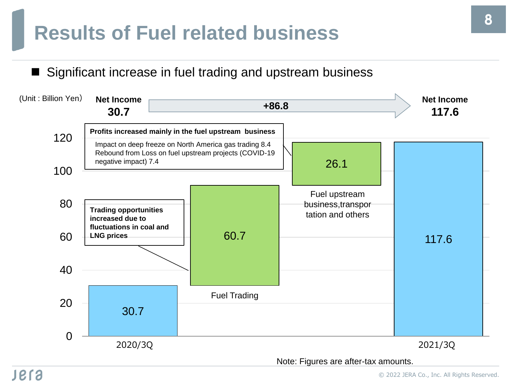## **Results of Fuel related business**

Significant increase in fuel trading and upstream business



Note: Figures are after-tax amounts.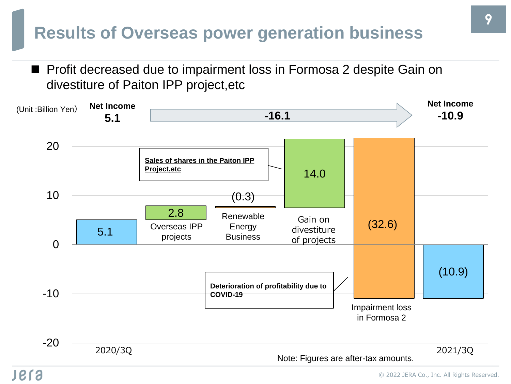### **Results of Overseas power generation business**

■ Profit decreased due to impairment loss in Formosa 2 despite Gain on divestiture of Paiton IPP project,etc

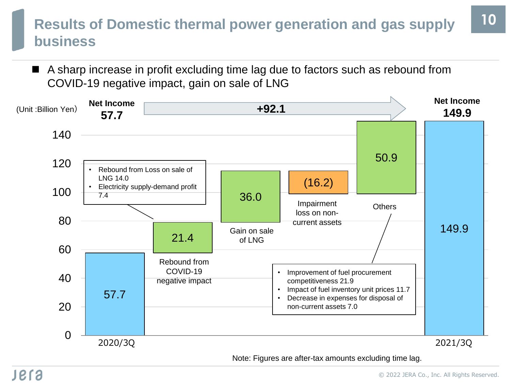### **Results of Domestic thermal power generation and gas supply business**

■ A sharp increase in profit excluding time lag due to factors such as rebound from COVID-19 negative impact, gain on sale of LNG



Note: Figures are after-tax amounts excluding time lag.

**10**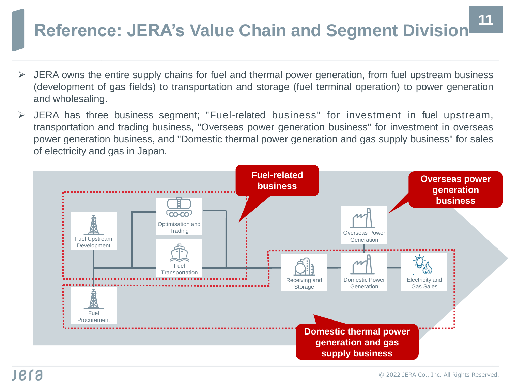# **Reference: JERA's Value Chain and Segment Division <sup>11</sup>**

- ➢ JERA owns the entire supply chains for fuel and thermal power generation, from fuel upstream business (development of gas fields) to transportation and storage (fuel terminal operation) to power generation and wholesaling.
- ➢ JERA has three business segment; "Fuel-related business" for investment in fuel upstream, transportation and trading business, "Overseas power generation business" for investment in overseas power generation business, and "Domestic thermal power generation and gas supply business" for sales of electricity and gas in Japan.

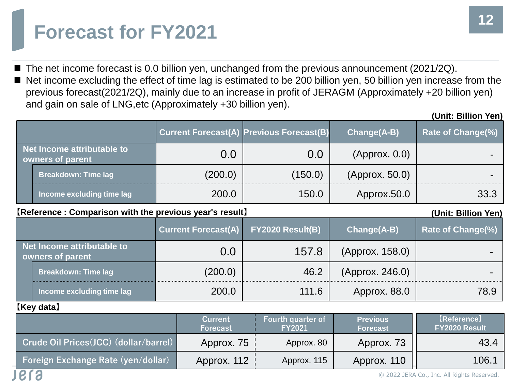## **Forecast for FY2021**

- The net income forecast is 0.0 billion yen, unchanged from the previous announcement (2021/2Q).
- Net income excluding the effect of time lag is estimated to be 200 billion yen, 50 billion yen increase from the previous forecast(2021/2Q), mainly due to an increase in profit of JERAGM (Approximately +20 billion yen) and gain on sale of LNG,etc (Approximately +30 billion yen).

|              |                                                |         | <b>Current Forecast(A) Previous Forecast(B)</b> | Change(A-B)    | <b>Rate of Change(%)</b> |
|--------------|------------------------------------------------|---------|-------------------------------------------------|----------------|--------------------------|
|              | Net Income attributable to<br>owners of parent | 0.0     | 0.0                                             | (Approx. 0.0)  |                          |
|              | <b>Breakdown: Time lag</b>                     | (200.0) | (150.0)                                         | (Approx. 50.0) |                          |
|              | Income excluding time lag                      | 200.0   | 150.0                                           | Approx.50.0    | 33.3                     |
| <b>Let 1</b> |                                                |         | . <b>.</b> .                                    |                |                          |

#### **【Reference : Comparison with the previous year's result】**

### **(Unit: Billion Yen) Current Forecast(A) FY2020 Result(B) Change(A-B) Rate of Change(%) Net Income attributable to owners of parent** 157.8 (Approx. 158.0) **•**<br> **owners of parent** 2000 **·** 2000 **· 2000 · 2000 · 2000 · 2000 · 2000 · 2000 · 2000 · 2000 · 2000 · 2000 · 2000 · 2000 · 2000 · 2000 · 2000 · 2000 · 2000 · 2000 · 2000 · 2000 · Breakdown: Time lag (200.0)** 46.2 (Approx. 246.0) **Income excluding time lag** 200.0 | 111.6 | Approx. 88.0 | 78.9

#### **【Key data】**

**PLS** 

|                                           | Current<br>Forecast | <b>Fourth quarter of</b><br><b>FY2021</b> | <b>Previous</b><br><b>Forecast</b> | [Reference]<br><b>FY2020 Result</b> |
|-------------------------------------------|---------------------|-------------------------------------------|------------------------------------|-------------------------------------|
| Crude Oil Prices (JCC) (dollar/barrel)    | Approx. 75          | Approx. 80                                | Approx. 73                         | 43.4                                |
| <b>Foreign Exchange Rate (yen/dollar)</b> | Approx. 112         | Approx. 115                               | Approx. 110                        | 106.1                               |

#### **(Unit: Billion Yen)**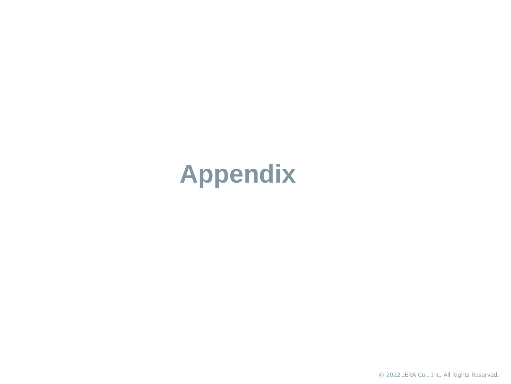# **Appendix**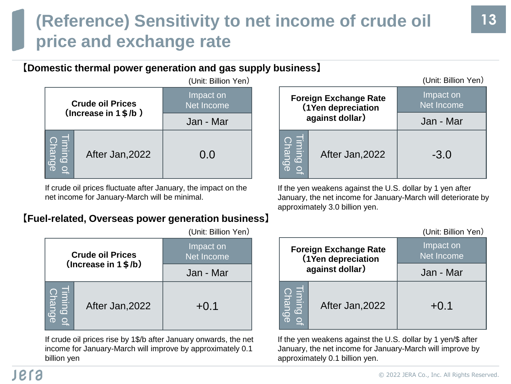## **(Reference) Sensitivity to net income of crude oil price and exchange rate**

#### **【Domestic thermal power generation and gas supply business】**

|                    |                                                             | (Unit: Billion Yen)     |
|--------------------|-------------------------------------------------------------|-------------------------|
|                    | <b>Crude oil Prices</b><br>(Increase in $1 \frac{4}{5}$ /b) | Impact on<br>Net Income |
|                    |                                                             | Jan - Mar               |
| chang <sub>o</sub> | After Jan, 2022                                             | 0.0                     |

If crude oil prices fluctuate after January, the impact on the net income for January-March will be minimal.

#### **【Fuel-related, Overseas power generation business】**

|                        |                         | (UIIII. DIIIUII TUI <i>I</i> |
|------------------------|-------------------------|------------------------------|
|                        | <b>Crude oil Prices</b> | Impact on<br>Net Income      |
|                        | $(Increase in 1$ \$/b)  | Jan - Mar                    |
| è<br>iming o<br>Change | After Jan, 2022         | $+0.1$                       |

If crude oil prices rise by 1\$/b after January onwards, the net income for January-March will improve by approximately 0.1 billion yen

| (Unit: Billion Yen)            |                                          |                                                    | (Unit: Billion Yen)     |
|--------------------------------|------------------------------------------|----------------------------------------------------|-------------------------|
| Impact on<br><b>Vet Income</b> |                                          | <b>Foreign Exchange Rate</b><br>(1Yen depreciation | Impact on<br>Net Income |
| Jan - Mar                      |                                          | against dollar)                                    | Jan - Mar               |
| 0.0                            | leigh<br>ange<br>$\overline{\mathbf{O}}$ | After Jan, 2022                                    | $-3.0$                  |

If the yen weakens against the U.S. dollar by 1 yen after January, the net income for January-March will deteriorate by approximately 3.0 billion yen.

| (Unit: Billion Yen)            |                                                        |                                                    | (Unit: Billion Yen)     |
|--------------------------------|--------------------------------------------------------|----------------------------------------------------|-------------------------|
| Impact on<br><b>Net Income</b> |                                                        | <b>Foreign Exchange Rate</b><br>(1Yen depreciation | Impact on<br>Net Income |
| Jan - Mar                      |                                                        | against dollar)                                    | Jan - Mar               |
| $+0.1$                         | <b>Change</b><br>ming.<br>.<br>$\overline{\mathbf{Q}}$ | After Jan, 2022                                    | $+0.1$                  |

If the yen weakens against the U.S. dollar by 1 yen/\$ after January, the net income for January-March will improve by approximately 0.1 billion yen.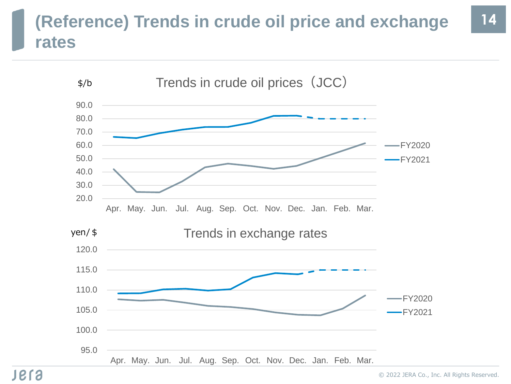## **(Reference) Trends in crude oil price and exchange 14 rates**

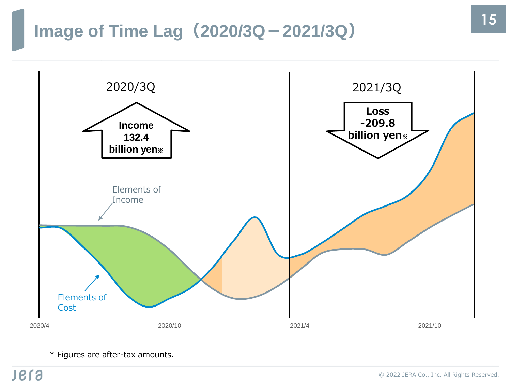## **Image of Time Lag(2020/3Q-2021/3Q)**



\* Figures are after-tax amounts.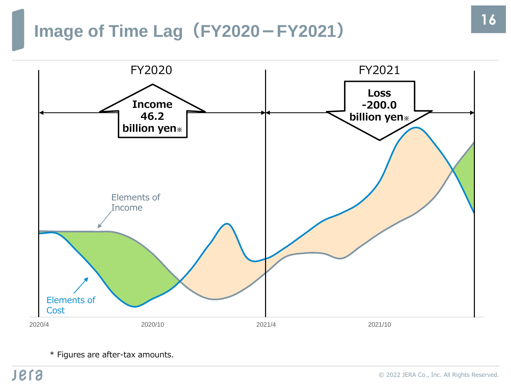## **Image of Time Lag(FY2020-FY2021)**



\* Figures are after-tax amounts.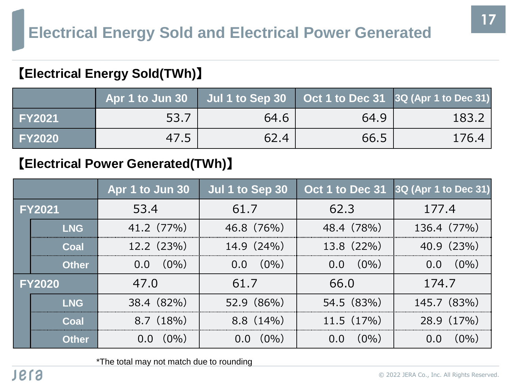### 【**Electrical Energy Sold(TWh)**】

|               | Apr 1 to Jun 30 $\mid$ Jul 1 to Sep 30 $\mid$ Oct 1 to Dec 31 $\mid$ 3Q (Apr 1 to Dec 31) |      |      |       |
|---------------|-------------------------------------------------------------------------------------------|------|------|-------|
| <b>FY2021</b> | 53.7                                                                                      | 64.6 | 64.9 | 183.2 |
| <b>FY2020</b> | 47.5                                                                                      | 62.4 | 66.5 | 176.4 |

### 【**Electrical Power Generated(TWh)**】

|               |              | Apr 1 to Jun 30   | Jul 1 to Sep 30 |                          | Oct 1 to Dec 31 3Q (Apr 1 to Dec 31) |
|---------------|--------------|-------------------|-----------------|--------------------------|--------------------------------------|
| <b>FY2021</b> |              | 53.4              | 61.7            | 62.3                     | 177.4                                |
|               | <b>LNG</b>   | 41.2 (77%)        | 46.8 (76%)      | 48.4 (78%)               | 136.4 (77%)                          |
|               | Coal         | 12.2(23%)         | 14.9(24%)       | 13.8 (22%)               | 40.9 (23%)                           |
|               | <b>Other</b> | $(0\%)$<br>0.0    | $(0\%)$<br>0.0  | $(0\%)$<br>$0.0^{\circ}$ | $(0\%)$<br>$0.0^{\circ}$             |
| <b>FY2020</b> |              | 47.0              | 61.7            | 66.0                     | 174.7                                |
|               | <b>LNG</b>   | 38.4 (82%)        | 52.9 (86%)      | 54.5 (83%)               | 145.7 (83%)                          |
|               | Coal         | 8.7(18%)          | $8.8(14\%)$     | 11.5(17%)                | 28.9 (17%)                           |
|               | <b>Other</b> | $0.0 \quad (0\%)$ | $(0\%)$         | $(0\%)$<br>0.0           | $(0\%)$                              |

\*The total may not match due to rounding